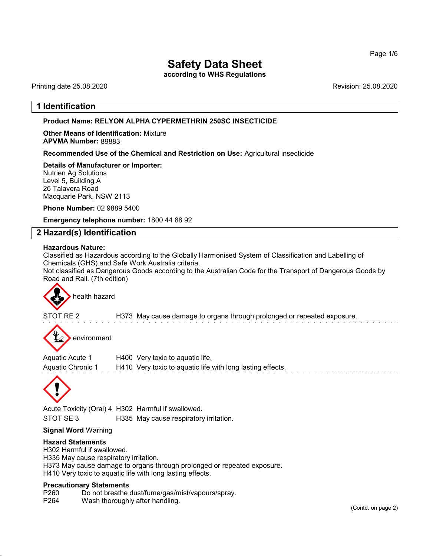according to WHS Regulations

Printing date 25.08.2020 Revision: 25.08.2020

# 1 Identification

## Product Name: **RELYON** ALPHA CYPERMETHRIN 250SC INSECTICIDE

Other Means of Identification: Mixture APVMA Number: 89883

Recommended Use of the Chemical and Restriction on Use: Agricultural insecticide

Details of Manufacturer or Importer: Nutrien Ag Solutions Level 5, Building A 26 Talavera Road Macquarie Park, NSW 2113

Phone Number: 02 9889 5400

Emergency telephone number: 1800 44 88 92

# 2 Hazard(s) Identification

### Hazardous Nature:

Classified as Hazardous according to the Globally Harmonised System of Classification and Labelling of Chemicals (GHS) and Safe Work Australia criteria.

Not classified as Dangerous Goods according to the Australian Code for the Transport of Dangerous Goods by Road and Rail. (7th edition)



STOT RE 2 H373 May cause damage to organs through prolonged or repeated exposure.

environment

Aquatic Acute 1 H400 Very toxic to aquatic life. Aquatic Chronic 1 H410 Very toxic to aquatic life with long lasting effects.



Acute Toxicity (Oral) 4 H302 Harmful if swallowed. STOT SE 3 H335 May cause respiratory irritation.

# Signal Word Warning

## Hazard Statements

H302 Harmful if swallowed. H335 May cause respiratory irritation. H373 May cause damage to organs through prolonged or repeated exposure. H410 Very toxic to aquatic life with long lasting effects.

### Precautionary Statements

P260 Do not breathe dust/fume/gas/mist/vapours/spray.

P264 Wash thoroughly after handling.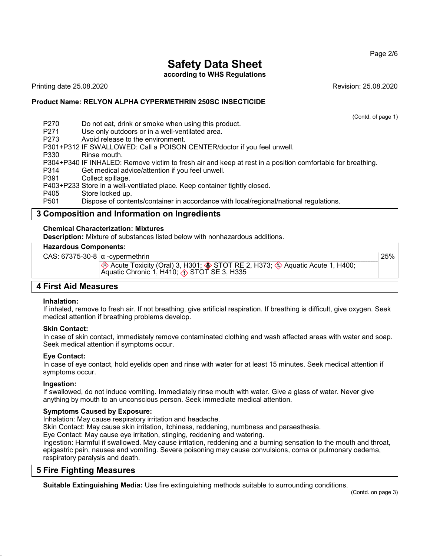according to WHS Regulations

Printing date 25.08.2020 Revision: 25.08.2020

(Contd. of page 1)

25%

## Product Name: **RELYON** ALPHA CYPERMETHRIN 250SC INSECTICIDE

P270 Do not eat, drink or smoke when using this product.<br>P271 Use only outdoors or in a well-ventilated area. P271 Use only outdoors or in a well-ventilated area.<br>P273 Avoid release to the environment. Avoid release to the environment. P301+P312 IF SWALLOWED: Call a POISON CENTER/doctor if you feel unwell. P330 Rinse mouth. P304+P340 IF INHALED: Remove victim to fresh air and keep at rest in a position comfortable for breathing. P314 Get medical advice/attention if you feel unwell.<br>P391 Collect spillage. Collect spillage. P403+P233 Store in a well-ventilated place. Keep container tightly closed.<br>P405 Store locked up P405 Store locked up.<br>P501 Dispose of conte Dispose of contents/container in accordance with local/regional/national regulations.

# 3 Composition and Information on Ingredients

## Chemical Characterization: Mixtures

Description: Mixture of substances listed below with nonhazardous additions.

## Hazardous Components:

CAS: 67375-30-8  $\alpha$  -cypermethrin  $\quad$  Acute Toxicity (Oral) 3, H301;  $\quad$  STOT RE 2, H373;  $\quad$  Aquatic Acute 1, H400; Aquatic Chronic 1, H410;  $\langle \cdot \rangle$  STOT SE 3, H335

# 4 First Aid Measures

## Inhalation:

If inhaled, remove to fresh air. If not breathing, give artificial respiration. If breathing is difficult, give oxygen. Seek medical attention if breathing problems develop.

## Skin Contact:

In case of skin contact, immediately remove contaminated clothing and wash affected areas with water and soap. Seek medical attention if symptoms occur.

## Eye Contact:

In case of eye contact, hold eyelids open and rinse with water for at least 15 minutes. Seek medical attention if symptoms occur.

# Ingestion:

If swallowed, do not induce vomiting. Immediately rinse mouth with water. Give a glass of water. Never give anything by mouth to an unconscious person. Seek immediate medical attention.

## Symptoms Caused by Exposure:

Inhalation: May cause respiratory irritation and headache.

Skin Contact: May cause skin irritation, itchiness, reddening, numbness and paraesthesia.

Eye Contact: May cause eye irritation, stinging, reddening and watering.

Ingestion: Harmful if swallowed. May cause irritation, reddening and a burning sensation to the mouth and throat, epigastric pain, nausea and vomiting. Severe poisoning may cause convulsions, coma or pulmonary oedema, respiratory paralysis and death.

# 5 Fire Fighting Measures

Suitable Extinguishing Media: Use fire extinguishing methods suitable to surrounding conditions.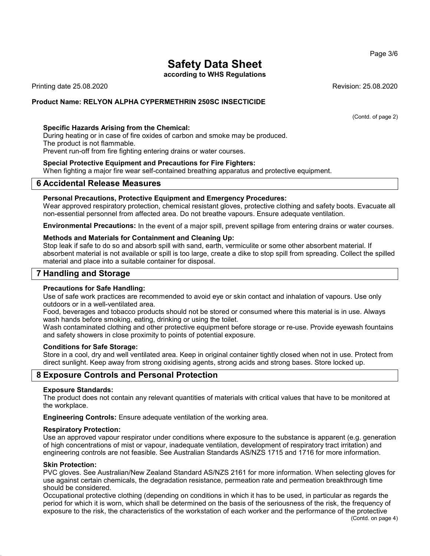according to WHS Regulations

Printing date 25.08.2020 Revision: 25.08.2020

## Product Name: **RELYON** ALPHA CYPERMETHRIN 250SC INSECTICIDE

### Specific Hazards Arising from the Chemical:

During heating or in case of fire oxides of carbon and smoke may be produced. The product is not flammable.

Prevent run-off from fire fighting entering drains or water courses.

### Special Protective Equipment and Precautions for Fire Fighters:

When fighting a major fire wear self-contained breathing apparatus and protective equipment.

## 6 Accidental Release Measures

### Personal Precautions, Protective Equipment and Emergency Procedures:

Wear approved respiratory protection, chemical resistant gloves, protective clothing and safety boots. Evacuate all non-essential personnel from affected area. Do not breathe vapours. Ensure adequate ventilation.

Environmental Precautions: In the event of a major spill, prevent spillage from entering drains or water courses.

### Methods and Materials for Containment and Cleaning Up:

Stop leak if safe to do so and absorb spill with sand, earth, vermiculite or some other absorbent material. If absorbent material is not available or spill is too large, create a dike to stop spill from spreading. Collect the spilled material and place into a suitable container for disposal.

# 7 Handling and Storage

## Precautions for Safe Handling:

Use of safe work practices are recommended to avoid eye or skin contact and inhalation of vapours. Use only outdoors or in a well-ventilated area.

Food, beverages and tobacco products should not be stored or consumed where this material is in use. Always wash hands before smoking, eating, drinking or using the toilet.

Wash contaminated clothing and other protective equipment before storage or re-use. Provide eyewash fountains and safety showers in close proximity to points of potential exposure.

### Conditions for Safe Storage:

Store in a cool, dry and well ventilated area. Keep in original container tightly closed when not in use. Protect from direct sunlight. Keep away from strong oxidising agents, strong acids and strong bases. Store locked up.

# 8 Exposure Controls and Personal Protection

### Exposure Standards:

The product does not contain any relevant quantities of materials with critical values that have to be monitored at the workplace.

Engineering Controls: Ensure adequate ventilation of the working area.

### Respiratory Protection:

Use an approved vapour respirator under conditions where exposure to the substance is apparent (e.g. generation of high concentrations of mist or vapour, inadequate ventilation, development of respiratory tract irritation) and engineering controls are not feasible. See Australian Standards AS/NZS 1715 and 1716 for more information.

### Skin Protection:

PVC gloves. See Australian/New Zealand Standard AS/NZS 2161 for more information. When selecting gloves for use against certain chemicals, the degradation resistance, permeation rate and permeation breakthrough time should be considered.

Occupational protective clothing (depending on conditions in which it has to be used, in particular as regards the period for which it is worn, which shall be determined on the basis of the seriousness of the risk, the frequency of exposure to the risk, the characteristics of the workstation of each worker and the performance of the protective

(Contd. of page 2)

Page 3/6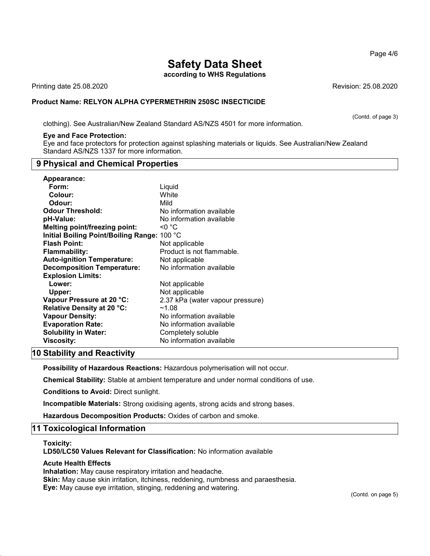according to WHS Regulations

Printing date 25.08.2020 Revision: 25.08.2020

## Product Name: **RELYON** ALPHA CYPERMETHRIN 250SC INSECTICIDE

clothing). See Australian/New Zealand Standard AS/NZS 4501 for more information.

### Eye and Face Protection:

Eye and face protectors for protection against splashing materials or liquids. See Australian/New Zealand Standard AS/NZS 1337 for more information.

# 9 Physical and Chemical Properties

| Appearance:                                 |                                  |
|---------------------------------------------|----------------------------------|
| Form:                                       | Liguid                           |
| Colour:                                     | White                            |
| Odour:                                      | Mild                             |
| <b>Odour Threshold:</b>                     | No information available         |
| pH-Value:                                   | No information available         |
| <b>Melting point/freezing point:</b>        | <0 °C                            |
| Initial Boiling Point/Boiling Range: 100 °C |                                  |
| <b>Flash Point:</b>                         | Not applicable                   |
| <b>Flammability:</b>                        | Product is not flammable.        |
| <b>Auto-ignition Temperature:</b>           | Not applicable                   |
| <b>Decomposition Temperature:</b>           | No information available         |
| <b>Explosion Limits:</b>                    |                                  |
| Lower:                                      | Not applicable                   |
| Upper:                                      | Not applicable                   |
| Vapour Pressure at 20 °C:                   | 2.37 kPa (water vapour pressure) |
| Relative Density at 20 °C:                  | ~1.08                            |
| <b>Vapour Density:</b>                      | No information available         |
| <b>Evaporation Rate:</b>                    | No information available         |
| <b>Solubility in Water:</b>                 | Completely soluble               |
| Viscosity:                                  | No information available         |

# 10 Stability and Reactivity

Possibility of Hazardous Reactions: Hazardous polymerisation will not occur.

Chemical Stability: Stable at ambient temperature and under normal conditions of use.

Conditions to Avoid: Direct sunlight.

Incompatible Materials: Strong oxidising agents, strong acids and strong bases.

Hazardous Decomposition Products: Oxides of carbon and smoke.

## 11 Toxicological Information

### Toxicity:

LD50/LC50 Values Relevant for Classification: No information available

## Acute Health Effects

Inhalation: May cause respiratory irritation and headache.

Skin: May cause skin irritation, itchiness, reddening, numbness and paraesthesia.

Eye: May cause eye irritation, stinging, reddening and watering.

Page 4/6

(Contd. of page 3)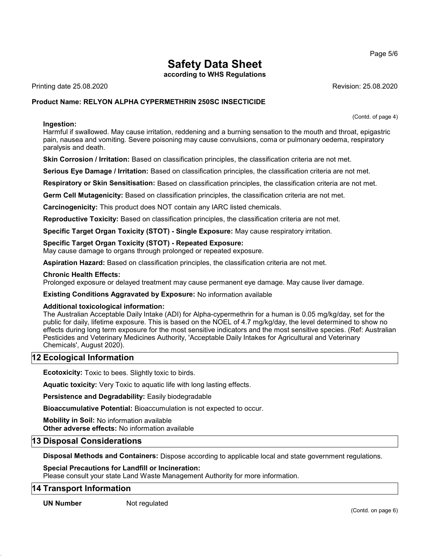according to WHS Regulations

Printing date 25.08.2020 Revision: 25.08.2020

(Contd. of page 4)

# Product Name: **RELYON** ALPHA CYPERMETHRIN 250SC INSECTICIDE

## Ingestion:

Harmful if swallowed. May cause irritation, reddening and a burning sensation to the mouth and throat, epigastric pain, nausea and vomiting. Severe poisoning may cause convulsions, coma or pulmonary oedema, respiratory paralysis and death.

Skin Corrosion / Irritation: Based on classification principles, the classification criteria are not met.

Serious Eye Damage / Irritation: Based on classification principles, the classification criteria are not met.

Respiratory or Skin Sensitisation: Based on classification principles, the classification criteria are not met.

Germ Cell Mutagenicity: Based on classification principles, the classification criteria are not met.

Carcinogenicity: This product does NOT contain any IARC listed chemicals.

Reproductive Toxicity: Based on classification principles, the classification criteria are not met.

Specific Target Organ Toxicity (STOT) - Single Exposure: May cause respiratory irritation.

## Specific Target Organ Toxicity (STOT) - Repeated Exposure:

May cause damage to organs through prolonged or repeated exposure.

Aspiration Hazard: Based on classification principles, the classification criteria are not met.

### Chronic Health Effects:

Prolonged exposure or delayed treatment may cause permanent eye damage. May cause liver damage.

## Existing Conditions Aggravated by Exposure: No information available

## Additional toxicological information:

The Australian Acceptable Daily Intake (ADI) for Alpha-cypermethrin for a human is 0.05 mg/kg/day, set for the public for daily, lifetime exposure. This is based on the NOEL of 4.7 mg/kg/day, the level determined to show no effects during long term exposure for the most sensitive indicators and the most sensitive species. (Ref: Australian Pesticides and Veterinary Medicines Authority, 'Acceptable Daily Intakes for Agricultural and Veterinary Chemicals', August 2020).

# 12 Ecological Information

Ecotoxicity: Toxic to bees. Slightly toxic to birds.

Aquatic toxicity: Very Toxic to aquatic life with long lasting effects.

Persistence and Degradability: Easily biodegradable

Bioaccumulative Potential: Bioaccumulation is not expected to occur.

Mobility in Soil: No information available

Other adverse effects: No information available

# 13 Disposal Considerations

Disposal Methods and Containers: Dispose according to applicable local and state government regulations.

## Special Precautions for Landfill or Incineration:

Please consult your state Land Waste Management Authority for more information.

## 14 Transport Information

UN Number Not regulated